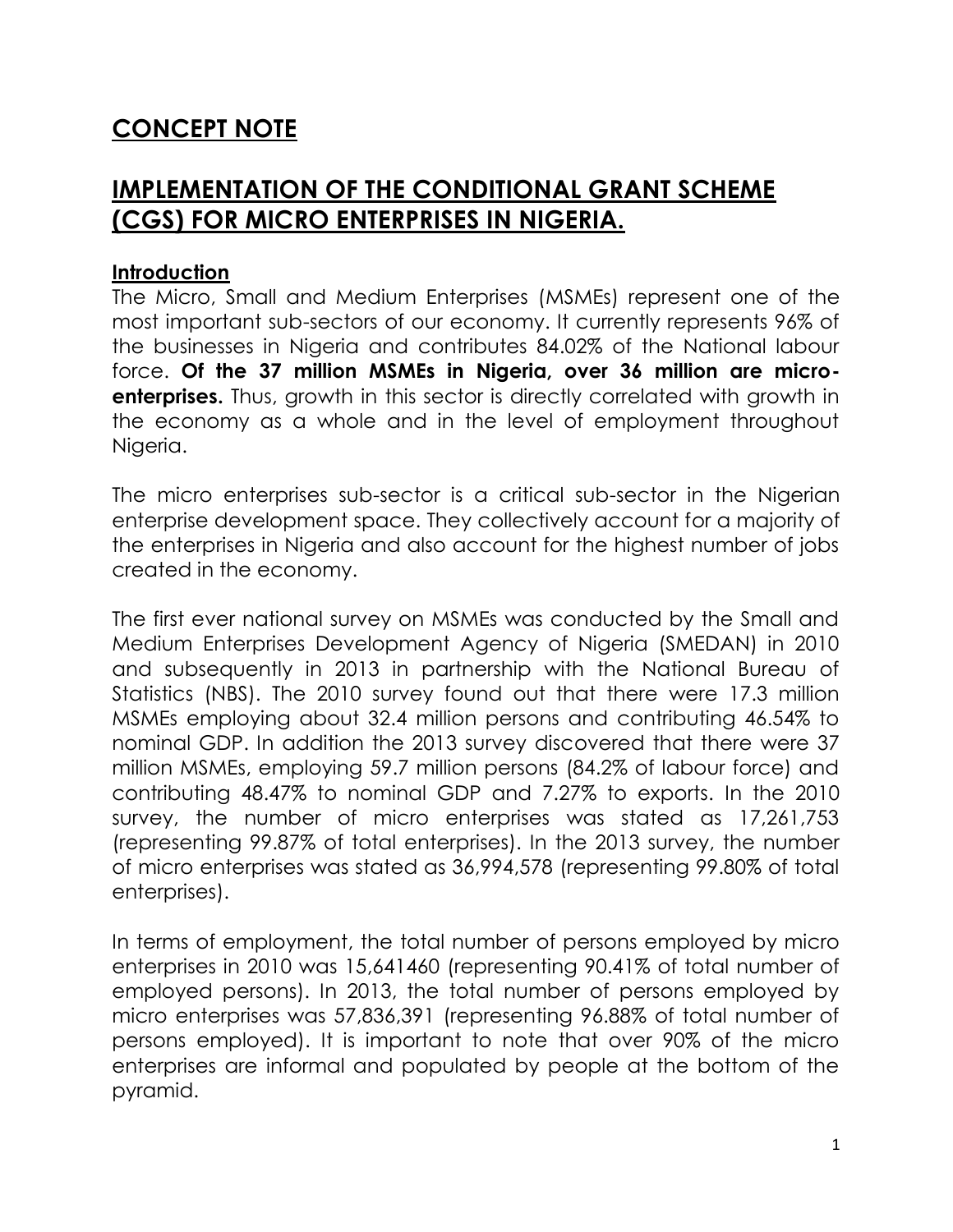# **CONCEPT NOTE**

# **IMPLEMENTATION OF THE CONDITIONAL GRANT SCHEME (CGS) FOR MICRO ENTERPRISES IN NIGERIA.**

#### **Introduction**

The Micro, Small and Medium Enterprises (MSMEs) represent one of the most important sub-sectors of our economy. It currently represents 96% of the businesses in Nigeria and contributes 84.02% of the National labour force. **Of the 37 million MSMEs in Nigeria, over 36 million are micro enterprises.** Thus, growth in this sector is directly correlated with growth in the economy as a whole and in the level of employment throughout Nigeria.

The micro enterprises sub-sector is a critical sub-sector in the Nigerian enterprise development space. They collectively account for a majority of the enterprises in Nigeria and also account for the highest number of jobs created in the economy.

The first ever national survey on MSMEs was conducted by the Small and Medium Enterprises Development Agency of Nigeria (SMEDAN) in 2010 and subsequently in 2013 in partnership with the National Bureau of Statistics (NBS). The 2010 survey found out that there were 17.3 million MSMEs employing about 32.4 million persons and contributing 46.54% to nominal GDP. In addition the 2013 survey discovered that there were 37 million MSMEs, employing 59.7 million persons (84.2% of labour force) and contributing 48.47% to nominal GDP and 7.27% to exports. In the 2010 survey, the number of micro enterprises was stated as 17,261,753 (representing 99.87% of total enterprises). In the 2013 survey, the number of micro enterprises was stated as 36,994,578 (representing 99.80% of total enterprises).

In terms of employment, the total number of persons employed by micro enterprises in 2010 was 15,641460 (representing 90.41% of total number of employed persons). In 2013, the total number of persons employed by micro enterprises was 57,836,391 (representing 96.88% of total number of persons employed). It is important to note that over 90% of the micro enterprises are informal and populated by people at the bottom of the pyramid.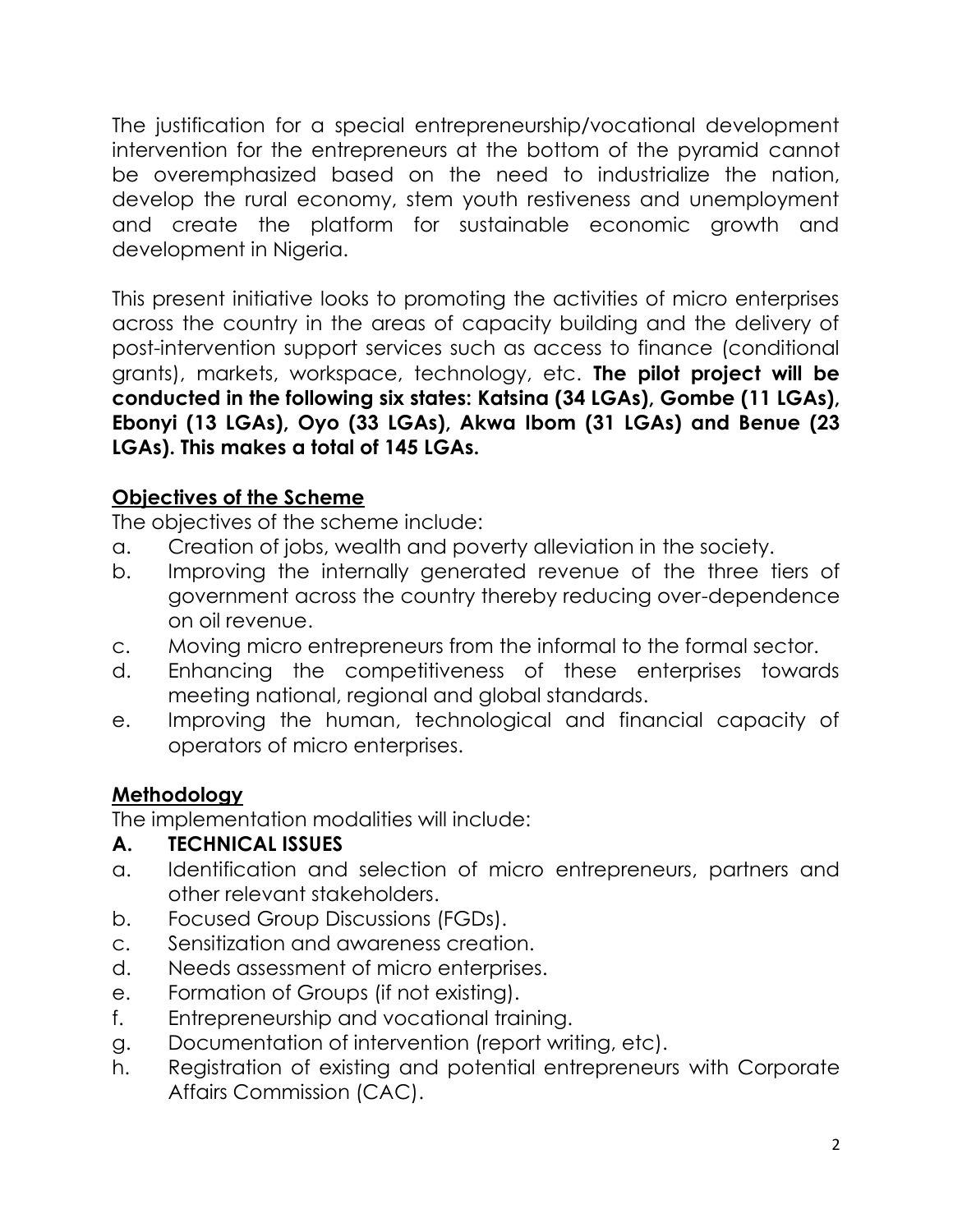The justification for a special entrepreneurship/vocational development intervention for the entrepreneurs at the bottom of the pyramid cannot be overemphasized based on the need to industrialize the nation, develop the rural economy, stem youth restiveness and unemployment and create the platform for sustainable economic growth and development in Nigeria.

This present initiative looks to promoting the activities of micro enterprises across the country in the areas of capacity building and the delivery of post-intervention support services such as access to finance (conditional grants), markets, workspace, technology, etc. **The pilot project will be conducted in the following six states: Katsina (34 LGAs), Gombe (11 LGAs), Ebonyi (13 LGAs), Oyo (33 LGAs), Akwa Ibom (31 LGAs) and Benue (23 LGAs). This makes a total of 145 LGAs.**

### **Objectives of the Scheme**

The objectives of the scheme include:

- a. Creation of jobs, wealth and poverty alleviation in the society.
- b. Improving the internally generated revenue of the three tiers of government across the country thereby reducing over-dependence on oil revenue.
- c. Moving micro entrepreneurs from the informal to the formal sector.
- d. Enhancing the competitiveness of these enterprises towards meeting national, regional and global standards.
- e. Improving the human, technological and financial capacity of operators of micro enterprises.

# **Methodology**

The implementation modalities will include:

### **A. TECHNICAL ISSUES**

- a. Identification and selection of micro entrepreneurs, partners and other relevant stakeholders.
- b. Focused Group Discussions (FGDs).
- c. Sensitization and awareness creation.
- d. Needs assessment of micro enterprises.
- e. Formation of Groups (if not existing).
- f. Entrepreneurship and vocational training.
- g. Documentation of intervention (report writing, etc).
- h. Registration of existing and potential entrepreneurs with Corporate Affairs Commission (CAC).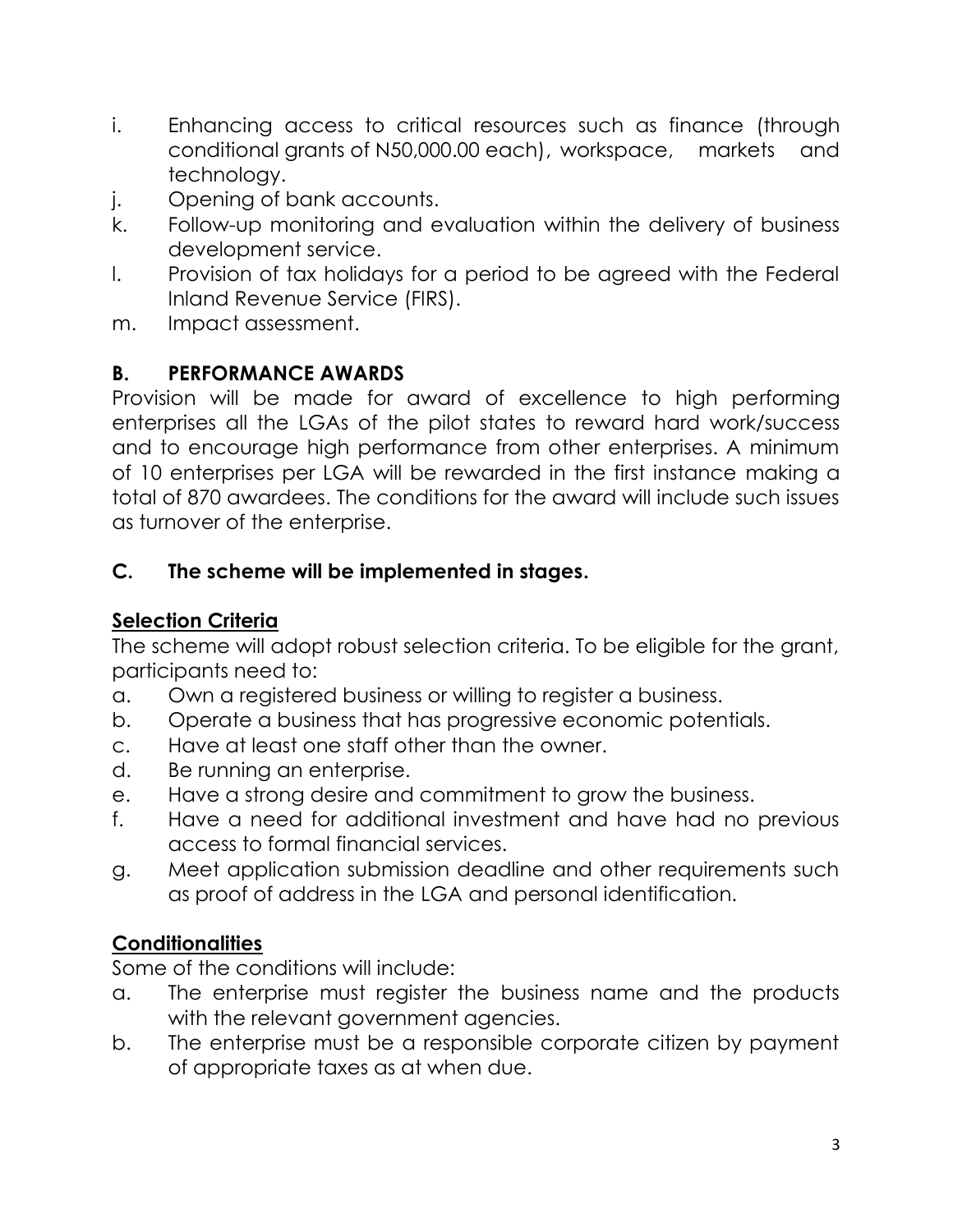- i. Enhancing access to critical resources such as finance (through conditional grants of N50,000.00 each), workspace, markets and technology.
- j. Opening of bank accounts.
- k. Follow-up monitoring and evaluation within the delivery of business development service.
- l. Provision of tax holidays for a period to be agreed with the Federal Inland Revenue Service (FIRS).
- m. Impact assessment.

### **B. PERFORMANCE AWARDS**

Provision will be made for award of excellence to high performing enterprises all the LGAs of the pilot states to reward hard work/success and to encourage high performance from other enterprises. A minimum of 10 enterprises per LGA will be rewarded in the first instance making a total of 870 awardees. The conditions for the award will include such issues as turnover of the enterprise.

### **C. The scheme will be implemented in stages.**

# **Selection Criteria**

The scheme will adopt robust selection criteria. To be eligible for the grant, participants need to:

- a. Own a registered business or willing to register a business.
- b. Operate a business that has progressive economic potentials.
- c. Have at least one staff other than the owner.
- d. Be running an enterprise.
- e. Have a strong desire and commitment to grow the business.
- f. Have a need for additional investment and have had no previous access to formal financial services.
- g. Meet application submission deadline and other requirements such as proof of address in the LGA and personal identification.

# **Conditionalities**

Some of the conditions will include:

- a. The enterprise must register the business name and the products with the relevant government agencies.
- b. The enterprise must be a responsible corporate citizen by payment of appropriate taxes as at when due.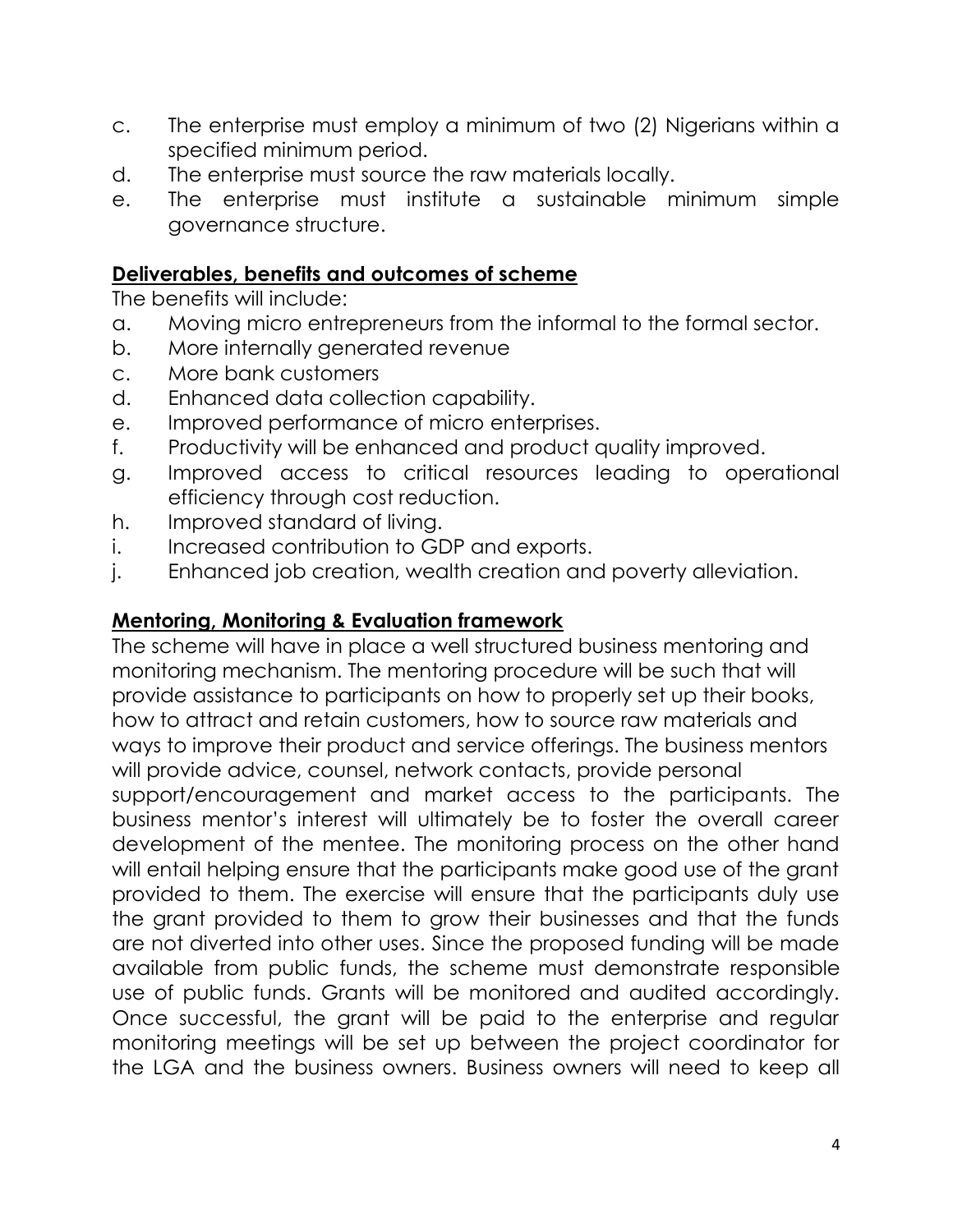- c. The enterprise must employ a minimum of two (2) Nigerians within a specified minimum period.
- d. The enterprise must source the raw materials locally.
- e. The enterprise must institute a sustainable minimum simple governance structure.

### **Deliverables, benefits and outcomes of scheme**

The benefits will include:

- a. Moving micro entrepreneurs from the informal to the formal sector.
- b. More internally generated revenue
- c. More bank customers
- d. Enhanced data collection capability.
- e. Improved performance of micro enterprises.
- f. Productivity will be enhanced and product quality improved.
- g. Improved access to critical resources leading to operational efficiency through cost reduction.
- h. Improved standard of living.
- i. Increased contribution to GDP and exports.
- j. Enhanced job creation, wealth creation and poverty alleviation.

### **Mentoring, Monitoring & Evaluation framework**

The scheme will have in place a well structured business mentoring and monitoring mechanism. The mentoring procedure will be such that will provide assistance to participants on how to properly set up their books, how to attract and retain customers, how to source raw materials and ways to improve their product and service offerings. The business mentors will provide advice, counsel, network contacts, provide personal support/encouragement and market access to the participants. The business mentor's interest will ultimately be to foster the overall career development of the mentee. The monitoring process on the other hand will entail helping ensure that the participants make good use of the grant provided to them. The exercise will ensure that the participants duly use the grant provided to them to grow their businesses and that the funds are not diverted into other uses. Since the proposed funding will be made available from public funds, the scheme must demonstrate responsible use of public funds. Grants will be monitored and audited accordingly. Once successful, the grant will be paid to the enterprise and regular monitoring meetings will be set up between the project coordinator for the LGA and the business owners. Business owners will need to keep all